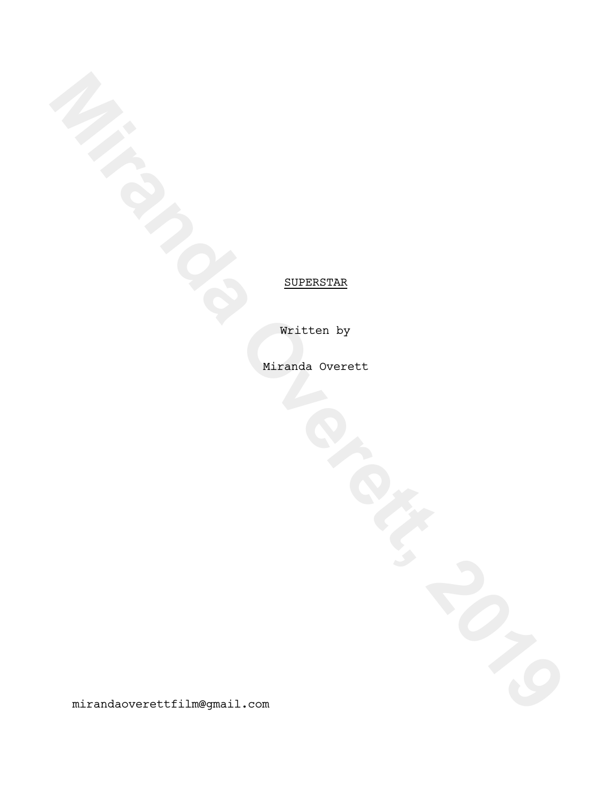Written by

Miranda Overett

**Miranda Overett, 2019**<br>
SUPERSTAR OVERELL, 2019<br>
SUPERSTAR OVERELL, 2019<br>
CHARACTER CONTROLL, CORRELL, 2019<br>
CHARACTER CONTROLL, CORRELL, 2019 mirandaoverettfilm@gmail.com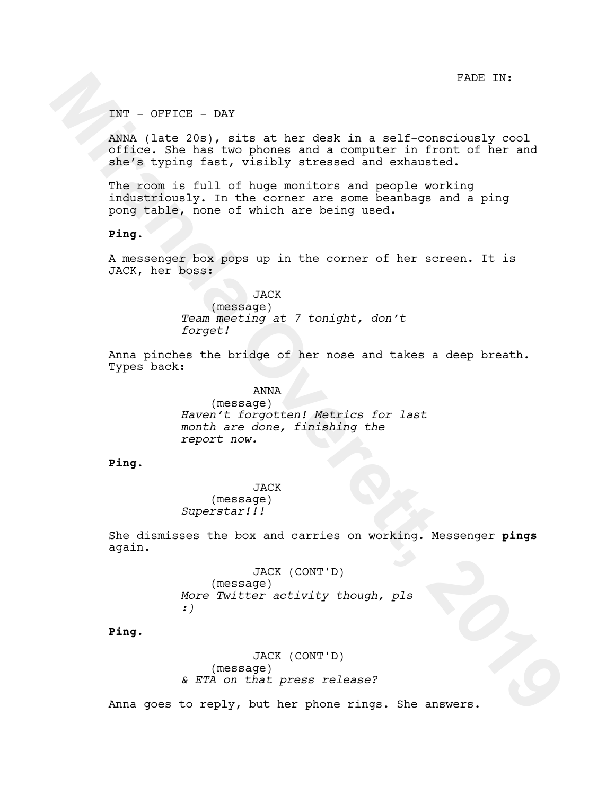FADE IN:

INT - OFFICE - DAY

**Miranda Overett, 2019** ANNA (late 20s), sits at her desk in a self-consciously cool office. She has two phones and a computer in front of her and she's typing fast, visibly stressed and exhausted.

The room is full of huge monitors and people working industriously. In the corner are some beanbags and a ping pong table, none of which are being used.

## **Ping.**

A messenger box pops up in the corner of her screen. It is JACK, her boss:

#### JACK

(message) *Team meeting at 7 tonight, don't forget!*

Anna pinches the bridge of her nose and takes a deep breath. Types back:

#### ANNA

(message) *Haven't forgotten! Metrics for last month are done, finishing the report now.*

## **Ping.**

JACK (message) *Superstar!!!*

She dismisses the box and carries on working. Messenger **pings** again.

> JACK (CONT'D) (message) *More Twitter activity though, pls :)*

# **Ping.**

JACK (CONT'D) (message) *& ETA on that press release?*

Anna goes to reply, but her phone rings. She answers.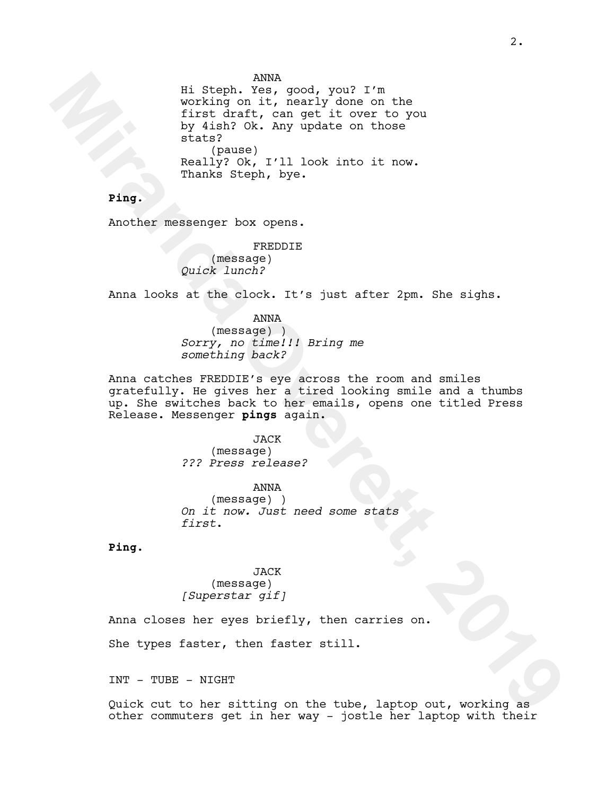ANNA

Mir Steph. West, good, you? The<br> **Miranda Contents of the section of the section of the section of the section of the section<br>
invariant is content in the section of the section of the section<br>
Basiliance of the section of** Hi Steph. Yes, good, you? I'm working on it, nearly done on the first draft, can get it over to you by 4ish? Ok. Any update on those stats? (pause) Really? Ok, I'll look into it now. Thanks Steph, bye.

**Ping.**

Another messenger box opens.

FREDDIE (message) *Quick lunch?*

Anna looks at the clock. It's just after 2pm. She sighs.

ANNA

(message) ) *Sorry, no time!!! Bring me something back?*

Anna catches FREDDIE's eye across the room and smiles gratefully. He gives her a tired looking smile and a thumbs up. She switches back to her emails, opens one titled Press Release. Messenger **pings** again.

> JACK (message) *??? Press release?*

ANNA (message) ) *On it now. Just need some stats first*.

**Ping.**

JACK (message) *[Superstar gif]*

Anna closes her eyes briefly, then carries on.

She types faster, then faster still.

INT - TUBE - NIGHT

Quick cut to her sitting on the tube, laptop out, working as other commuters get in her way - jostle her laptop with their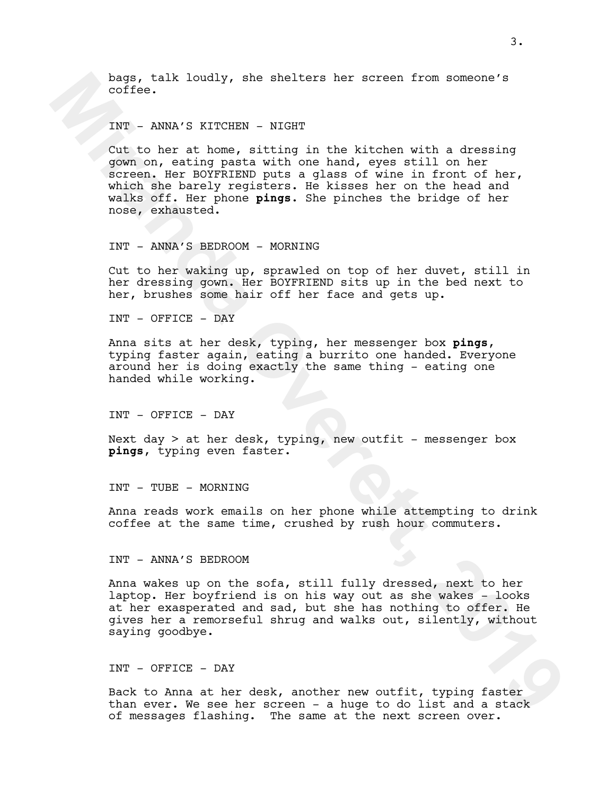bags, talk loudly, she shelters her screen from someone's coffee.

## INT - ANNA'S KITCHEN - NIGHT

bags, talk loudly, she shelters her screen from someons's<br>
confree.<br>
The NAMA/s XITECHNY NIGHT<br>
Cut to be at home, sitting in the kitches with a dressing<br>
given the scriptizer and class of Xines in the head of<br>
which she b Cut to her at home, sitting in the kitchen with a dressing gown on, eating pasta with one hand, eyes still on her screen. Her BOYFRIEND puts a glass of wine in front of her, which she barely registers. He kisses her on the head and walks off. Her phone **pings**. She pinches the bridge of her nose, exhausted.

#### INT - ANNA'S BEDROOM - MORNING

Cut to her waking up, sprawled on top of her duvet, still in her dressing gown. Her BOYFRIEND sits up in the bed next to her, brushes some hair off her face and gets up.

INT - OFFICE - DAY

Anna sits at her desk, typing, her messenger box **pings**, typing faster again, eating a burrito one handed. Everyone around her is doing exactly the same thing - eating one handed while working.

INT - OFFICE - DAY

Next day > at her desk, typing, new outfit - messenger box **pings**, typing even faster.

INT - TUBE - MORNING

Anna reads work emails on her phone while attempting to drink coffee at the same time, crushed by rush hour commuters.

#### INT - ANNA'S BEDROOM

Anna wakes up on the sofa, still fully dressed, next to her laptop. Her boyfriend is on his way out as she wakes - looks at her exasperated and sad, but she has nothing to offer. He gives her a remorseful shrug and walks out, silently, without saying goodbye.

## INT - OFFICE - DAY

Back to Anna at her desk, another new outfit, typing faster than ever. We see her screen - a huge to do list and a stack of messages flashing. The same at the next screen over.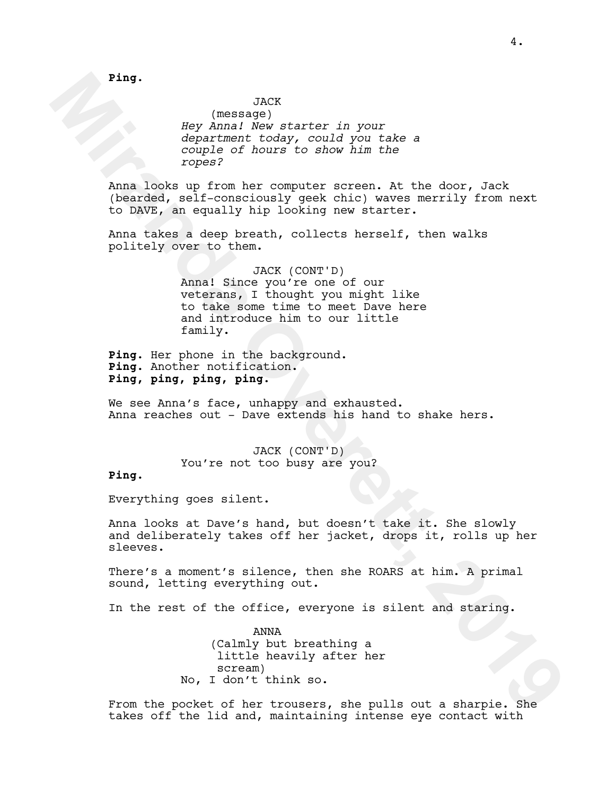**Ping.**

#### JACK

(message) *Hey Anna! New starter in your department today, could you take a couple of hours to show him the ropes?*

Anna looks up from her computer screen. At the door, Jack (bearded, self-consciously geek chic) waves merrily from next to DAVE, an equally hip looking new starter.

Anna takes a deep breath, collects herself, then walks politely over to them.

**Fing.** (message) (ARCE 1898) (SEC 1899) (The same of the couple of hours to show him the couple of hours to show him the computer or computer or computer or computer or computer or computer or computer (back the computer JACK (CONT'D) Anna! Since you're one of our veterans, I thought you might like to take some time to meet Dave here and introduce him to our little family.

**Ping.** Her phone in the background. **Ping.** Another notification. **Ping, ping, ping, ping.**

We see Anna's face, unhappy and exhausted. Anna reaches out - Dave extends his hand to shake hers.

# JACK (CONT'D) You're not too busy are you?

## **Ping.**

Everything goes silent.

Anna looks at Dave's hand, but doesn't take it. She slowly and deliberately takes off her jacket, drops it, rolls up her sleeves.

There's a moment's silence, then she ROARS at him. A primal sound, letting everything out.

In the rest of the office, everyone is silent and staring.

ANNA (Calmly but breathing a little heavily after her scream) No, I don't think so.

From the pocket of her trousers, she pulls out a sharpie. She takes off the lid and, maintaining intense eye contact with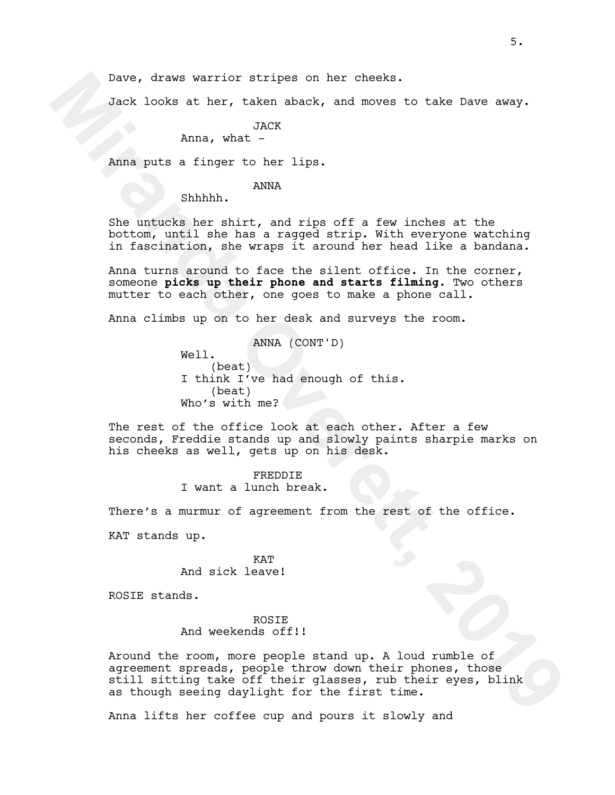Dave, draws warrior stripes on her cheeks.

Jack looks at her, taken aback, and moves to take Dave away.

JACK

# Anna, what -

Anna puts a finger to her lips.

## ANNA

Shhhhh.

She untucks her shirt, and rips off a few inches at the bottom, until she has a ragged strip. With everyone watching in fascination, she wraps it around her head like a bandana.

Anna turns around to face the silent office. In the corner, someone **picks up their phone and starts filming**. Two others mutter to each other, one goes to make a phone call.

Anna climbs up on to her desk and surveys the room.

ANNA (CONT'D) Well. (beat) I think I've had enough of this. (beat) Who's with me?

The rest of the office look at each other. After a few seconds, Freddie stands up and slowly paints sharpie marks on his cheeks as well, gets up on his desk.

> FREDDIE I want a lunch break.

There's a murmur of agreement from the rest of the office.

KAT stands up.

KAT And sick leave!

ROSIE stands.

ROSIE And weekends off!!

Pave, draws warrier stripes on her checks.<br>
Wark looks at her, taken back, and moves to take Dave away.<br>
Anna, what -<br>
Movember 1198.<br>
Movember 1198.<br>
Movember 1198.<br>
She untucks her thirt, and ripe off a few inches at the Around the room, more people stand up. A loud rumble of agreement spreads, people throw down their phones, those still sitting take off their glasses, rub their eyes, blink as though seeing daylight for the first time.

Anna lifts her coffee cup and pours it slowly and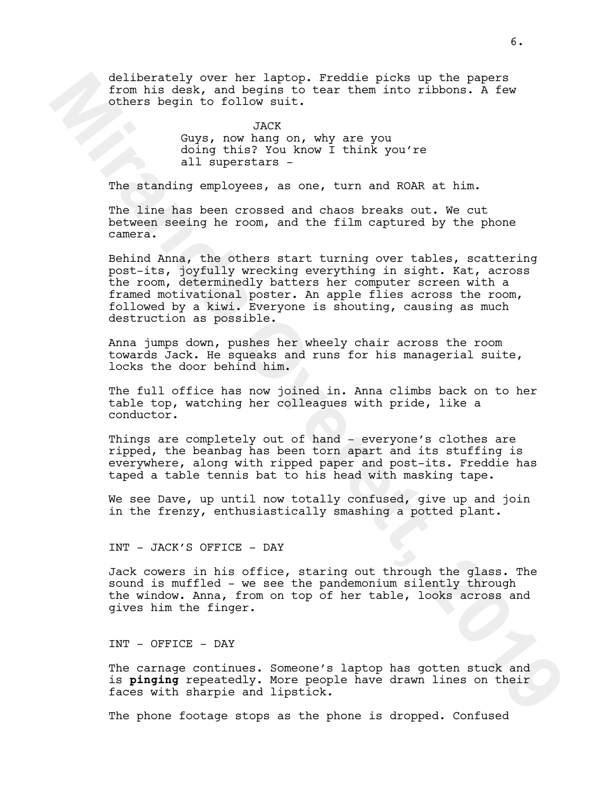deliberately over her laptop. Freddie picks up the papers from his desk, and begins to tear them into ribbons. A few others begin to follow suit.

> JACK Guys, now hang on, why are you doing this? You know I think you're all superstars -

The standing employees, as one, turn and ROAR at him.

The line has been crossed and chaos breaks out. We cut between seeing he room, and the film captured by the phone camera.

deliberately over her laptop. Freddie picke up the papers<br>Trom his denk, and hedina to tear them into ribbone. A few others begin to follow suit.<br>
Ougs, now hange on, why are you<br>
Note that the denk of the standing employe Behind Anna, the others start turning over tables, scattering post-its, joyfully wrecking everything in sight. Kat, across the room, determinedly batters her computer screen with a framed motivational poster. An apple flies across the room, followed by a kiwi. Everyone is shouting, causing as much destruction as possible.

Anna jumps down, pushes her wheely chair across the room towards Jack. He squeaks and runs for his managerial suite, locks the door behind him.

The full office has now joined in. Anna climbs back on to her table top, watching her colleagues with pride, like a conductor.

Things are completely out of hand - everyone's clothes are ripped, the beanbag has been torn apart and its stuffing is everywhere, along with ripped paper and post-its. Freddie has taped a table tennis bat to his head with masking tape.

We see Dave, up until now totally confused, give up and join in the frenzy, enthusiastically smashing a potted plant.

INT - JACK'S OFFICE - DAY

Jack cowers in his office, staring out through the glass. The sound is muffled - we see the pandemonium silently through the window. Anna, from on top of her table, looks across and gives him the finger.

INT - OFFICE - DAY

The carnage continues. Someone's laptop has gotten stuck and is **pinging** repeatedly. More people have drawn lines on their faces with sharpie and lipstick.

The phone footage stops as the phone is dropped. Confused